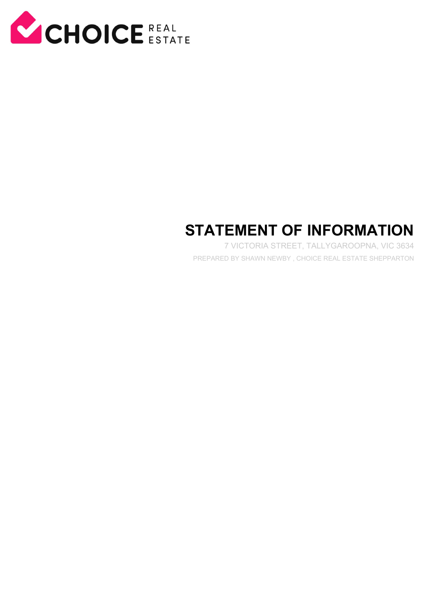

# **STATEMENT OF INFORMATION**

7 VICTORIA STREET, TALLYGAROOPNA, VIC 3634 PREPARED BY SHAWN NEWBY , CHOICE REAL ESTATE SHEPPARTON